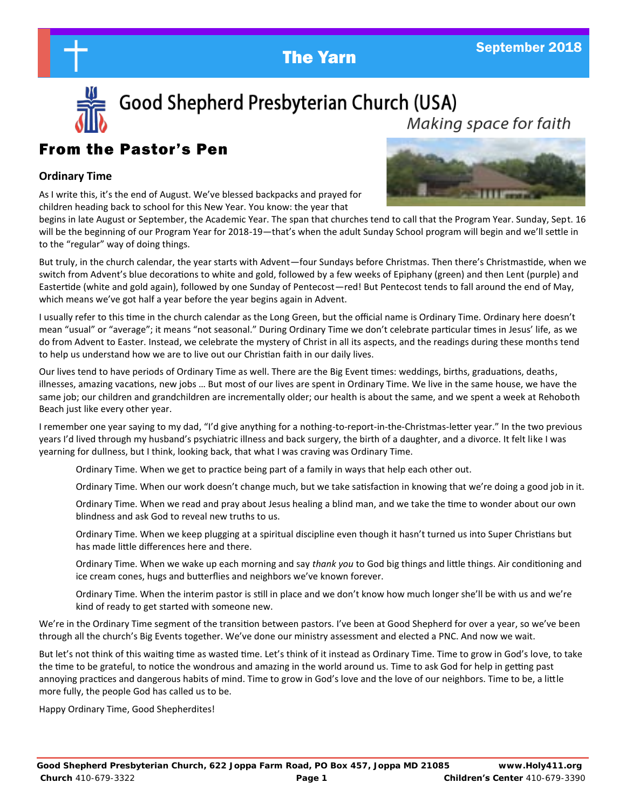



Good Shepherd Presbyterian Church (USA) Making space for faith

## From the Pastor's Pen

#### **Ordinary Time**

As I write this, it's the end of August. We've blessed backpacks and prayed for children heading back to school for this New Year. You know: the year that



begins in late August or September, the Academic Year. The span that churches tend to call that the Program Year. Sunday, Sept. 16 will be the beginning of our Program Year for 2018-19—that's when the adult Sunday School program will begin and we'll settle in to the "regular" way of doing things.

But truly, in the church calendar, the year starts with Advent—four Sundays before Christmas. Then there's Christmastide, when we switch from Advent's blue decorations to white and gold, followed by a few weeks of Epiphany (green) and then Lent (purple) and Eastertide (white and gold again), followed by one Sunday of Pentecost—red! But Pentecost tends to fall around the end of May, which means we've got half a year before the year begins again in Advent.

I usually refer to this time in the church calendar as the Long Green, but the official name is Ordinary Time. Ordinary here doesn't mean "usual" or "average"; it means "not seasonal." During Ordinary Time we don't celebrate particular times in Jesus' life, as we do from Advent to Easter. Instead, we celebrate the mystery of Christ in all its aspects, and the readings during these months tend to help us understand how we are to live out our Christian faith in our daily lives.

Our lives tend to have periods of Ordinary Time as well. There are the Big Event times: weddings, births, graduations, deaths, illnesses, amazing vacations, new jobs … But most of our lives are spent in Ordinary Time. We live in the same house, we have the same job; our children and grandchildren are incrementally older; our health is about the same, and we spent a week at Rehoboth Beach just like every other year.

I remember one year saying to my dad, "I'd give anything for a nothing-to-report-in-the-Christmas-letter year." In the two previous years I'd lived through my husband's psychiatric illness and back surgery, the birth of a daughter, and a divorce. It felt like I was yearning for dullness, but I think, looking back, that what I was craving was Ordinary Time.

Ordinary Time. When we get to practice being part of a family in ways that help each other out.

Ordinary Time. When our work doesn't change much, but we take satisfaction in knowing that we're doing a good job in it.

Ordinary Time. When we read and pray about Jesus healing a blind man, and we take the time to wonder about our own blindness and ask God to reveal new truths to us.

Ordinary Time. When we keep plugging at a spiritual discipline even though it hasn't turned us into Super Christians but has made little differences here and there.

Ordinary Time. When we wake up each morning and say *thank you* to God big things and little things. Air conditioning and ice cream cones, hugs and butterflies and neighbors we've known forever.

Ordinary Time. When the interim pastor is still in place and we don't know how much longer she'll be with us and we're kind of ready to get started with someone new.

We're in the Ordinary Time segment of the transition between pastors. I've been at Good Shepherd for over a year, so we've been through all the church's Big Events together. We've done our ministry assessment and elected a PNC. And now we wait.

But let's not think of this waiting time as wasted time. Let's think of it instead as Ordinary Time. Time to grow in God's love, to take the time to be grateful, to notice the wondrous and amazing in the world around us. Time to ask God for help in getting past annoying practices and dangerous habits of mind. Time to grow in God's love and the love of our neighbors. Time to be, a little more fully, the people God has called us to be.

Happy Ordinary Time, Good Shepherdites!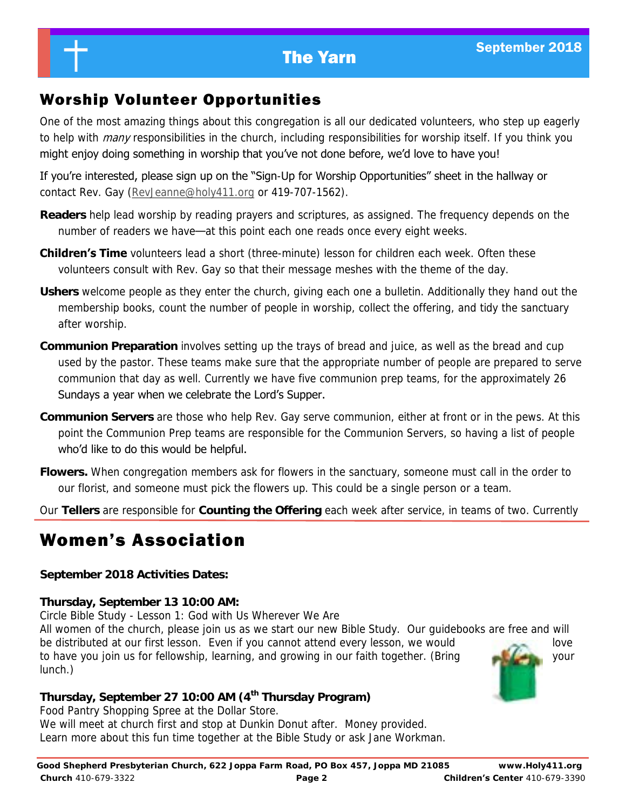## Worship Volunteer Opportunities

One of the most amazing things about this congregation is all our dedicated volunteers, who step up eagerly to help with *many* responsibilities in the church, including responsibilities for worship itself. If you think you might enjoy doing something in worship that you've not done before, we'd love to have you!

If you're interested, please sign up on the "Sign-Up for Worship Opportunities" sheet in the hallway or contact Rev. Gay ([RevJeanne@holy411.org](mailto:RevJeanne@holy411.org) or 419-707-1562).

- **Readers** help lead worship by reading prayers and scriptures, as assigned. The frequency depends on the number of readers we have—at this point each one reads once every eight weeks.
- **Children's Time** volunteers lead a short (three-minute) lesson for children each week. Often these volunteers consult with Rev. Gay so that their message meshes with the theme of the day.
- **Ushers** welcome people as they enter the church, giving each one a bulletin. Additionally they hand out the membership books, count the number of people in worship, collect the offering, and tidy the sanctuary after worship.
- **Communion Preparation** involves setting up the trays of bread and juice, as well as the bread and cup used by the pastor. These teams make sure that the appropriate number of people are prepared to serve communion that day as well. Currently we have five communion prep teams, for the approximately 26 Sundays a year when we celebrate the Lord's Supper.
- **Communion Servers** are those who help Rev. Gay serve communion, either at front or in the pews. At this point the Communion Prep teams are responsible for the Communion Servers, so having a list of people who'd like to do this would be helpful.
- **Flowers.** When congregation members ask for flowers in the sanctuary, someone must call in the order to our florist, and someone must pick the flowers up. This could be a single person or a team.
- Our **Tellers** are responsible for **Counting the Offering** each week after service, in teams of two. Currently

# Women's Association

**September 2018 Activities Dates:**

**Thursday, September 13 10:00 AM:**

Circle Bible Study - Lesson 1: God with Us Wherever We Are

All women of the church, please join us as we start our new Bible Study. Our guidebooks are free and will be distributed at our first lesson. Even if you cannot attend every lesson, we would to have you join us for fellowship, learning, and growing in our faith together. (Bring and the state of your lunch.)



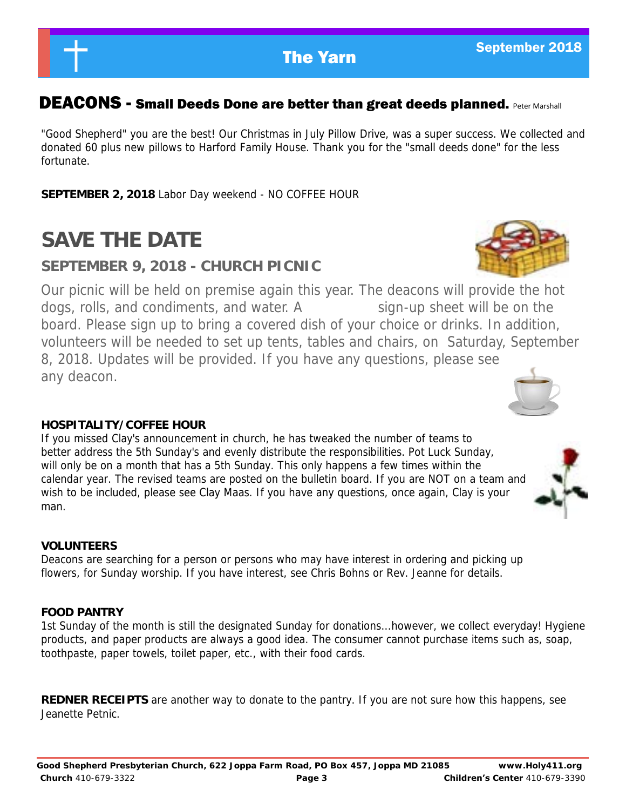### DEACONS - Small Deeds Done are better than great deeds planned. Peter Marshall

"Good Shepherd" you are the best! Our Christmas in July Pillow Drive, was a super success. We collected and donated 60 plus new pillows to Harford Family House. Thank you for the "small deeds done" for the less fortunate.

**SEPTEMBER 2, 2018** Labor Day weekend - NO COFFEE HOUR

# **SAVE THE DATE**

### **SEPTEMBER 9, 2018 - CHURCH PICNIC**

Our picnic will be held on premise again this year. The deacons will provide the hot dogs, rolls, and condiments, and water. A sign-up sheet will be on the board. Please sign up to bring a covered dish of your choice or drinks. In addition, volunteers will be needed to set up tents, tables and chairs, on Saturday, September 8, 2018. Updates will be provided. If you have any questions, please see any deacon.

### **HOSPITALITY/COFFEE HOUR**

If you missed Clay's announcement in church, he has tweaked the number of teams to better address the 5th Sunday's and evenly distribute the responsibilities. Pot Luck Sunday, will only be on a month that has a 5th Sunday. This only happens a few times within the calendar year. The revised teams are posted on the bulletin board. If you are NOT on a team and wish to be included, please see Clay Maas. If you have any questions, once again, Clay is your man.

### **VOLUNTEERS**

Deacons are searching for a person or persons who may have interest in ordering and picking up flowers, for Sunday worship. If you have interest, see Chris Bohns or Rev. Jeanne for details.

#### **FOOD PANTRY**

1st Sunday of the month is still the designated Sunday for donations...however, we collect everyday! Hygiene products, and paper products are always a good idea. The consumer cannot purchase items such as, soap, toothpaste, paper towels, toilet paper, etc., with their food cards.

**REDNER RECEIPTS** are another way to donate to the pantry. If you are not sure how this happens, see Jeanette Petnic.



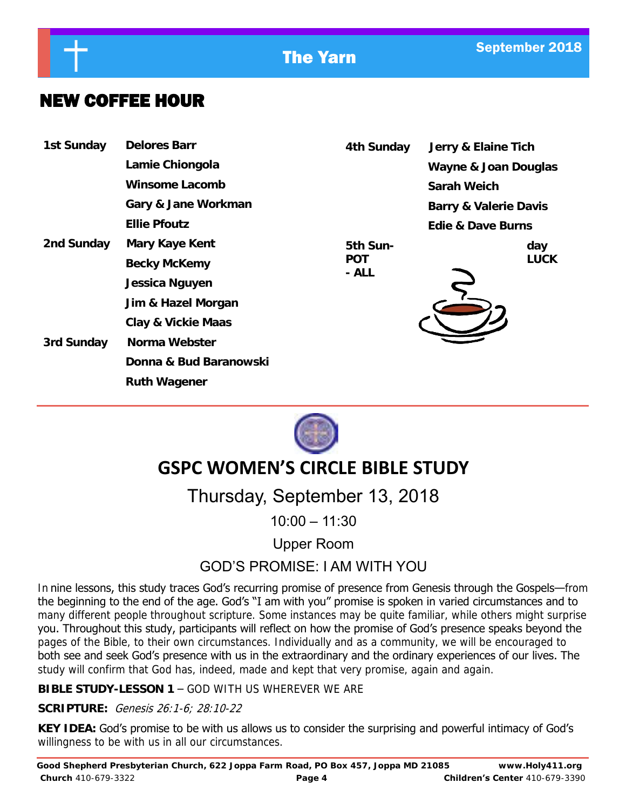

## NEW COFFEE HOUR

| 1st Sunday | Delores Barr           | 4th Sunday |                            | Jerry & Elaine Tich<br>Wayne & Joan Douglas<br>Sarah Weich |                       |  |
|------------|------------------------|------------|----------------------------|------------------------------------------------------------|-----------------------|--|
|            | Lamie Chiongola        |            |                            |                                                            |                       |  |
|            | Winsome Lacomb         |            |                            |                                                            |                       |  |
|            | Gary & Jane Workman    |            |                            |                                                            | Barry & Valerie Davis |  |
|            | Ellie Pfoutz           |            |                            |                                                            | Edie & Dave Burns     |  |
| 2nd Sunday | Mary Kaye Kent         |            | 5th Sun-<br>POT<br>$- ALL$ | day<br><b>LUCK</b>                                         |                       |  |
|            | Becky McKemy           |            |                            |                                                            |                       |  |
|            | Jessica Nguyen         |            |                            |                                                            |                       |  |
|            | Jim & Hazel Morgan     |            |                            |                                                            |                       |  |
|            | Clay & Vickie Maas     |            |                            |                                                            |                       |  |
| 3rd Sunday | Norma Webster          |            |                            |                                                            |                       |  |
|            | Donna & Bud Baranowski |            |                            |                                                            |                       |  |
|            | Ruth Wagener           |            |                            |                                                            |                       |  |



## **GSPC WOMEN'S CIRCLE BIBLE STUDY**

# Thursday, September 13, 2018

10:00 – 11:30

Upper Room

### GOD'S PROMISE: I AM WITH YOU

In nine lessons, this study traces God's recurring promise of presence from Genesis through the Gospels—from the beginning to the end of the age. God's "I am with you" promise is spoken in varied circumstances and to many different people throughout scripture. Some instances may be quite familiar, while others might surprise you. Throughout this study, participants will reflect on how the promise of God's presence speaks beyond the pages of the Bible, to their own circumstances. Individually and as a community, we will be encouraged to both see and seek God's presence with us in the extraordinary and the ordinary experiences of our lives. The study will confirm that God has, indeed, made and kept that very promise, again and again.

**BIBLE STUDY-LESSON 1** – GOD WITH US WHEREVER WE ARE

**SCRIPTURE:** Genesis 26:1-6; 28:10-22

**KEY IDEA:** God's promise to be with us allows us to consider the surprising and powerful intimacy of God's willingness to be with us in all our circumstances.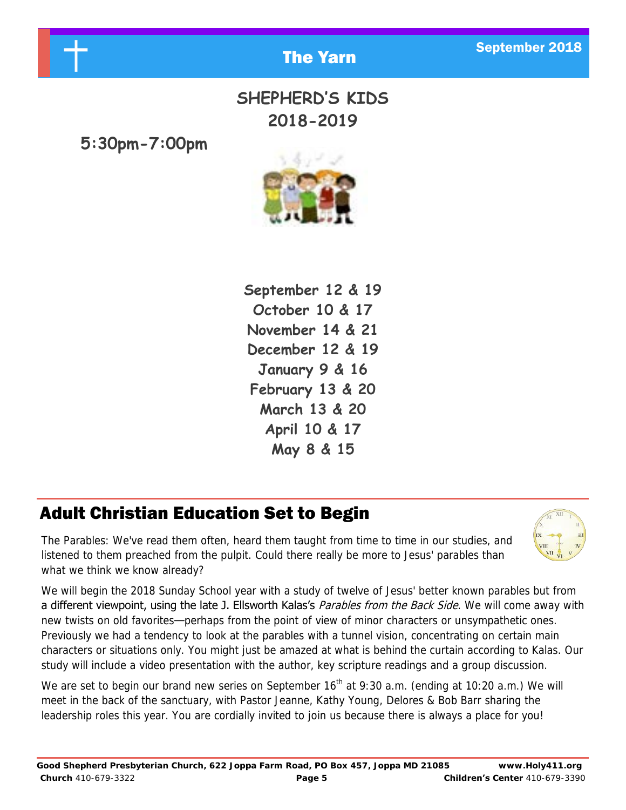

## **SHEPHERD'S KIDS 2018-2019**

**5:30pm-7:00pm**



**September 12 & 19 October 10 & 17 November 14 & 21 December 12 & 19 January 9 & 16 February 13 & 20 March 13 & 20 April 10 & 17 May 8 & 15**

# Adult Christian Education Set to Begin

The Parables: We've read them often, heard them taught from time to time in our studies, and listened to them preached from the pulpit. Could there really be more to Jesus' parables than what we think we know already?



We will begin the 2018 Sunday School year with a study of twelve of Jesus' better known parables but from a different viewpoint, using the late J. Ellsworth Kalas's Parables from the Back Side. We will come away with new twists on old favorites—perhaps from the point of view of minor characters or unsympathetic ones. Previously we had a tendency to look at the parables with a tunnel vision, concentrating on certain main characters or situations only. You might just be amazed at what is behind the curtain according to Kalas. Our study will include a video presentation with the author, key scripture readings and a group discussion.

We are set to begin our brand new series on September  $16<sup>th</sup>$  at 9:30 a.m. (ending at 10:20 a.m.) We will meet in the back of the sanctuary, with Pastor Jeanne, Kathy Young, Delores & Bob Barr sharing the leadership roles this year. You are cordially invited to join us because there is always a place for you!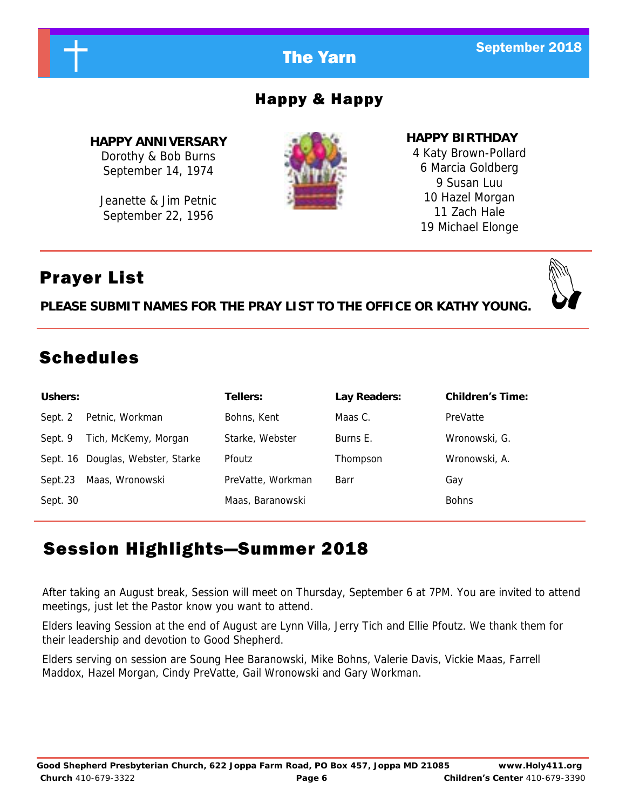

After taking an August break, Session will meet on Thursday, September 6 at 7PM. You are invited to attend meetings, just let the Pastor know you want to attend.

Elders leaving Session at the end of August are Lynn Villa, Jerry Tich and Ellie Pfoutz. We thank them for their leadership and devotion to Good Shepherd.

Elders serving on session are Soung Hee Baranowski, Mike Bohns, Valerie Davis, Vickie Maas, Farrell Maddox, Hazel Morgan, Cindy PreVatte, Gail Wronowski and Gary Workman.

# Happy & Happy

**HAPPY ANNIVERSARY** Dorothy & Bob Burns September 14, 1974

Jeanette & Jim Petnic September 22, 1956

**HAPPY BIRTHDAY** 4 Katy Brown-Pollard 6 Marcia Goldberg 9 Susan Luu 10 Hazel Morgan 11 Zach Hale 19 Michael Elonge

# Prayer List

**PLEASE SUBMIT NAMES FOR THE PRAY LIST TO THE OFFICE OR KATHY YOUNG.**

# Schedules

| Ushers:  |                                   | Tellers:          | Lay Readers: | <b>Children's Time:</b> |
|----------|-----------------------------------|-------------------|--------------|-------------------------|
| Sept. 2  | Petnic, Workman                   | Bohns, Kent       | Maas C.      | PreVatte                |
| Sept. 9  | Tich, McKemy, Morgan              | Starke, Webster   | Burns E.     | Wronowski, G.           |
|          | Sept. 16 Douglas, Webster, Starke | <b>Pfoutz</b>     | Thompson     | Wronowski, A.           |
| Sept.23  | Maas, Wronowski                   | PreVatte, Workman | Barr         | Gay                     |
| Sept. 30 |                                   | Maas, Baranowski  |              | <b>Bohns</b>            |

# Session Highlights—Summer 2018

**Church** 410-679-3322 **Page 6 Children's Center** 410-679-3390

# **The Yarn September 2018**